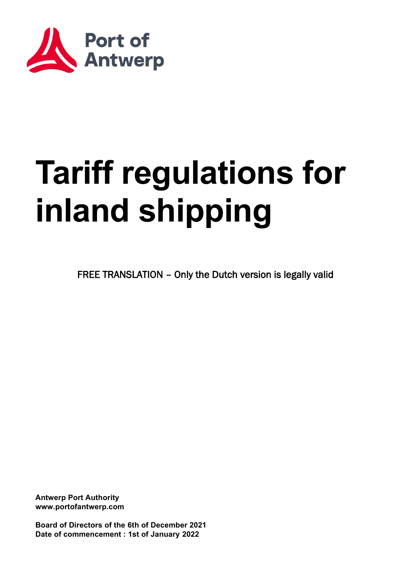

# **Tariff regulations for inland shipping**

FREE TRANSLATION – Only the Dutch version is legally valid

**Antwerp Port Authority www.portofantwerp.com**

**Board of Directors of the 6th of December 2021 Date of commencement : 1st of January 2022**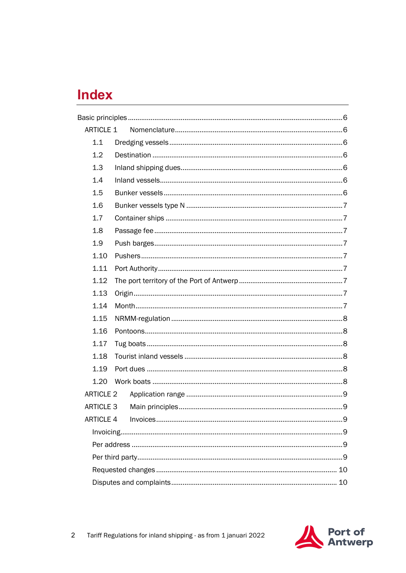# **Index**

| <b>ARTICLE 1</b> |  |
|------------------|--|
| 1.1              |  |
| 1.2              |  |
| 1.3              |  |
| 1.4              |  |
| 1.5              |  |
| 1.6              |  |
| 1.7              |  |
| 1.8              |  |
| 1.9              |  |
| 1.10             |  |
| 1.11             |  |
| 1.12             |  |
| 1.13             |  |
| 1.14             |  |
| 1.15             |  |
| 1.16             |  |
| 1.17             |  |
| 1.18             |  |
| 1.19             |  |
| 1.20             |  |
| <b>ARTICLE 2</b> |  |
| <b>ARTICLE 3</b> |  |
| <b>ARTICLE 4</b> |  |
|                  |  |
|                  |  |
|                  |  |
|                  |  |
|                  |  |

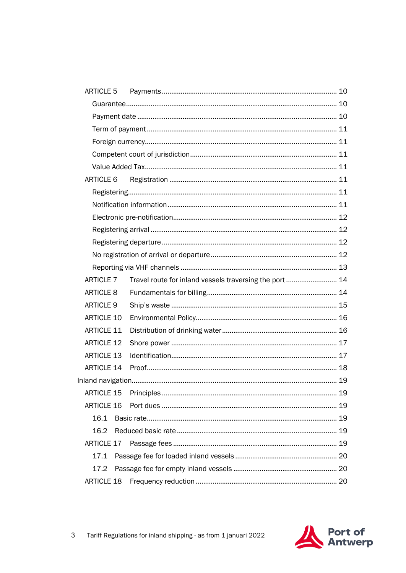| ARTICLE 6         |                                                         |  |
|-------------------|---------------------------------------------------------|--|
|                   |                                                         |  |
|                   |                                                         |  |
|                   |                                                         |  |
|                   |                                                         |  |
|                   |                                                         |  |
|                   |                                                         |  |
|                   |                                                         |  |
| <b>ARTICLE 7</b>  | Travel route for inland vessels traversing the port  14 |  |
| <b>ARTICLE 8</b>  |                                                         |  |
| <b>ARTICLE 9</b>  |                                                         |  |
| <b>ARTICLE 10</b> |                                                         |  |
| <b>ARTICLE 11</b> |                                                         |  |
| <b>ARTICLE 12</b> |                                                         |  |
| <b>ARTICLE 13</b> |                                                         |  |
| <b>ARTICLE 14</b> |                                                         |  |
|                   |                                                         |  |
|                   |                                                         |  |
|                   |                                                         |  |
| 16.1              |                                                         |  |
| 16.2              |                                                         |  |
| ARTICLE 17        |                                                         |  |
| 17.1              |                                                         |  |
| 17.2              |                                                         |  |
|                   |                                                         |  |

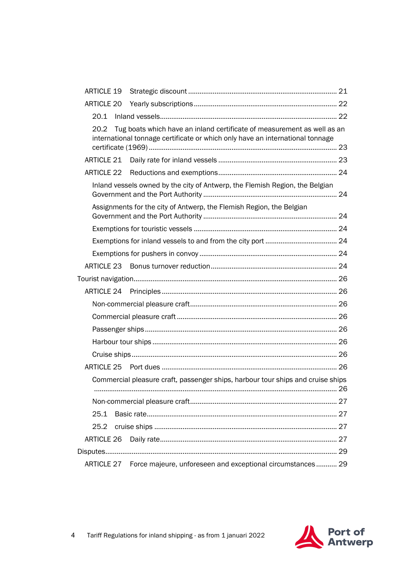| <b>ARTICLE 19</b> |                                                                                                                                                          |  |
|-------------------|----------------------------------------------------------------------------------------------------------------------------------------------------------|--|
| <b>ARTICLE 20</b> |                                                                                                                                                          |  |
| 20.1              |                                                                                                                                                          |  |
| 20.2              | Tug boats which have an inland certificate of measurement as well as an<br>international tonnage certificate or which only have an international tonnage |  |
|                   |                                                                                                                                                          |  |
|                   |                                                                                                                                                          |  |
|                   | Inland vessels owned by the city of Antwerp, the Flemish Region, the Belgian                                                                             |  |
|                   | Assignments for the city of Antwerp, the Flemish Region, the Belgian                                                                                     |  |
|                   |                                                                                                                                                          |  |
|                   |                                                                                                                                                          |  |
|                   |                                                                                                                                                          |  |
| ARTICLE 23        |                                                                                                                                                          |  |
|                   |                                                                                                                                                          |  |
|                   |                                                                                                                                                          |  |
|                   |                                                                                                                                                          |  |
|                   |                                                                                                                                                          |  |
|                   |                                                                                                                                                          |  |
|                   |                                                                                                                                                          |  |
|                   |                                                                                                                                                          |  |
|                   |                                                                                                                                                          |  |
|                   | Commercial pleasure craft, passenger ships, harbour tour ships and cruise ships                                                                          |  |
|                   |                                                                                                                                                          |  |
| 25.1              |                                                                                                                                                          |  |
|                   |                                                                                                                                                          |  |
|                   |                                                                                                                                                          |  |
|                   |                                                                                                                                                          |  |
|                   | ARTICLE 27 Force majeure, unforeseen and exceptional circumstances  29                                                                                   |  |

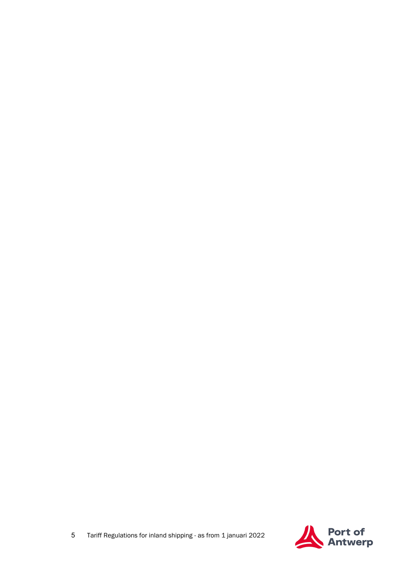

Tariff Regulations for inland shipping - as from 1 januari 2022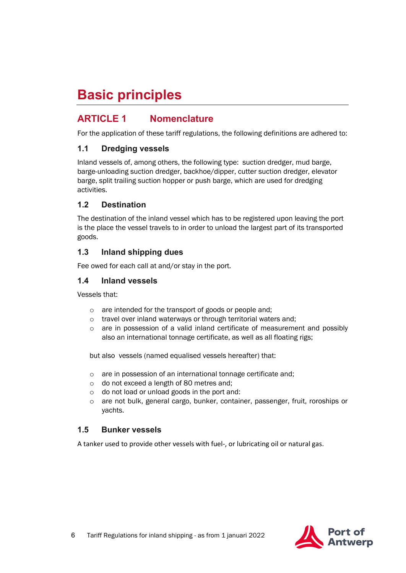# <span id="page-5-0"></span>**Basic principles**

## <span id="page-5-1"></span>**ARTICLE 1 Nomenclature**

For the application of these tariff regulations, the following definitions are adhered to:

## <span id="page-5-2"></span>**1.1 Dredging vessels**

Inland vessels of, among others, the following type: suction dredger, mud barge, barge-unloading suction dredger, backhoe/dipper, cutter suction dredger, elevator barge, split trailing suction hopper or push barge, which are used for dredging activities.

## <span id="page-5-3"></span>**1.2 Destination**

The destination of the inland vessel which has to be registered upon leaving the port is the place the vessel travels to in order to unload the largest part of its transported goods.

## <span id="page-5-4"></span>**1.3 Inland shipping dues**

Fee owed for each call at and/or stay in the port.

## <span id="page-5-5"></span>**1.4 Inland vessels**

Vessels that:

- o are intended for the transport of goods or people and;
- o travel over inland waterways or through territorial waters and;
- $\circ$  are in possession of a valid inland certificate of measurement and possibly also an international tonnage certificate, as well as all floating rigs;

but also vessels (named equalised vessels hereafter) that:

- o are in possession of an international tonnage certificate and;
- o do not exceed a length of 80 metres and;
- o do not load or unload goods in the port and:
- o are not bulk, general cargo, bunker, container, passenger, fruit, roroships or yachts.

## <span id="page-5-6"></span>**1.5 Bunker vessels**

A tanker used to provide other vessels with fuel-, or lubricating oil or natural gas.

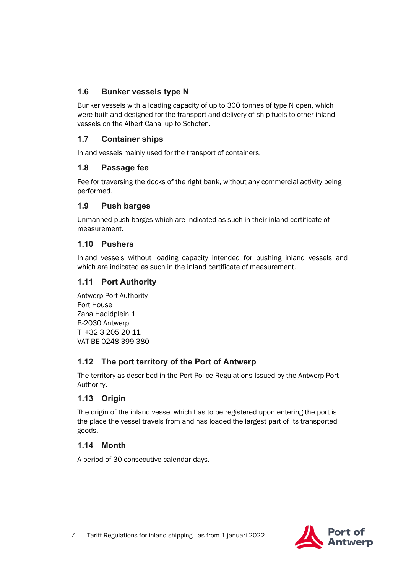## <span id="page-6-0"></span>**1.6 Bunker vessels type N**

Bunker vessels with a loading capacity of up to 300 tonnes of type N open, which were built and designed for the transport and delivery of ship fuels to other inland vessels on the Albert Canal up to Schoten.

## <span id="page-6-1"></span>**1.7 Container ships**

Inland vessels mainly used for the transport of containers.

## <span id="page-6-2"></span>**1.8 Passage fee**

Fee for traversing the docks of the right bank, without any commercial activity being performed.

## <span id="page-6-3"></span>**1.9 Push barges**

Unmanned push barges which are indicated as such in their inland certificate of measurement.

## <span id="page-6-4"></span>**1.10 Pushers**

Inland vessels without loading capacity intended for pushing inland vessels and which are indicated as such in the inland certificate of measurement.

## <span id="page-6-5"></span>**1.11 Port Authority**

Antwerp Port Authority Port House Zaha Hadidplein 1 B-2030 Antwerp T +32 3 205 20 11 VAT BE 0248 399 380

## <span id="page-6-6"></span>**1.12 The port territory of the Port of Antwerp**

The territory as described in the Port Police Regulations Issued by the Antwerp Port Authority.

## <span id="page-6-7"></span>**1.13 Origin**

The origin of the inland vessel which has to be registered upon entering the port is the place the vessel travels from and has loaded the largest part of its transported goods.

## <span id="page-6-8"></span>**1.14 Month**

A period of 30 consecutive calendar days.

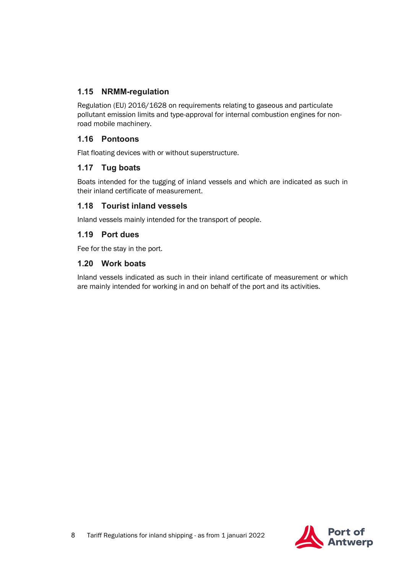## <span id="page-7-0"></span>**1.15 NRMM-regulation**

[Regulation \(EU\) 2016/1628](http://eur-lex.europa.eu/legal-content/EN/TXT/?uri=CELEX:32016R1628&locale=en) on requirements relating to gaseous and particulate pollutant emission limits and type-approval for internal combustion engines for nonroad mobile machinery.

## <span id="page-7-1"></span>**1.16 Pontoons**

Flat floating devices with or without superstructure.

## <span id="page-7-2"></span>**1.17 Tug boats**

Boats intended for the tugging of inland vessels and which are indicated as such in their inland certificate of measurement.

## <span id="page-7-3"></span>**1.18 Tourist inland vessels**

Inland vessels mainly intended for the transport of people.

## <span id="page-7-4"></span>**1.19 Port dues**

Fee for the stay in the port.

## <span id="page-7-5"></span>**1.20 Work boats**

Inland vessels indicated as such in their inland certificate of measurement or which are mainly intended for working in and on behalf of the port and its activities.

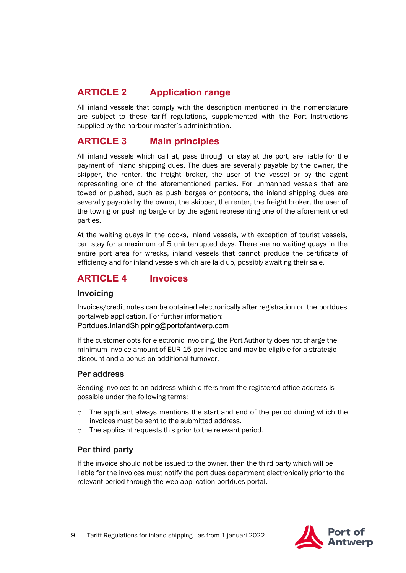## <span id="page-8-0"></span>**ARTICLE 2 Application range**

All inland vessels that comply with the description mentioned in the nomenclature are subject to these tariff regulations, supplemented with the Port Instructions supplied by the harbour master's administration.

## <span id="page-8-1"></span>**ARTICLE 3 Main principles**

All inland vessels which call at, pass through or stay at the port, are liable for the payment of inland shipping dues. The dues are severally payable by the owner, the skipper, the renter, the freight broker, the user of the vessel or by the agent representing one of the aforementioned parties. For unmanned vessels that are towed or pushed, such as push barges or pontoons, the inland shipping dues are severally payable by the owner, the skipper, the renter, the freight broker, the user of the towing or pushing barge or by the agent representing one of the aforementioned parties.

At the waiting quays in the docks, inland vessels, with exception of tourist vessels, can stay for a maximum of 5 uninterrupted days. There are no waiting quays in the entire port area for wrecks, inland vessels that cannot produce the certificate of efficiency and for inland vessels which are laid up, possibly awaiting their sale.

## <span id="page-8-2"></span>**ARTICLE 4 Invoices**

#### <span id="page-8-3"></span>**Invoicing**

Invoices/credit notes can be obtained electronically after registration on the portdues portalweb application. For further information:

Portdues.InlandShippin[g@portofantwerp.com](mailto:havenrechten.binnenvaart@portofantwerp.com)

If the customer opts for electronic invoicing, the Port Authority does not charge the minimum invoice amount of EUR 15 per invoice and may be eligible for a strategic discount and a bonus on additional turnover.

#### <span id="page-8-4"></span>**Per address**

Sending invoices to an address which differs from the registered office address is possible under the following terms:

- $\circ$  The applicant always mentions the start and end of the period during which the invoices must be sent to the submitted address.
- o The applicant requests this prior to the relevant period.

## <span id="page-8-5"></span>**Per third party**

If the invoice should not be issued to the owner, then the third party which will be liable for the invoices must notify the port dues department electronically prior to the relevant period through the web application portdues portal.

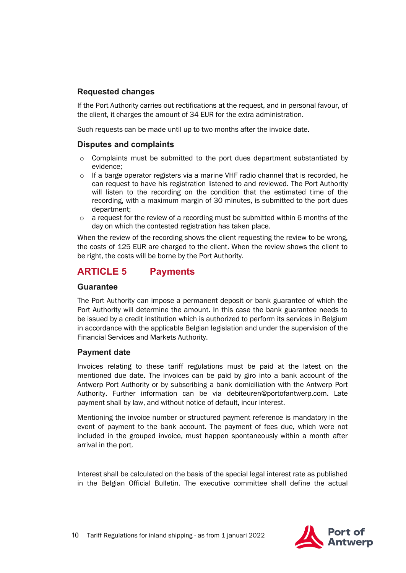## <span id="page-9-0"></span>**Requested changes**

If the Port Authority carries out rectifications at the request, and in personal favour, of the client, it charges the amount of 34 EUR for the extra administration.

Such requests can be made until up to two months after the invoice date.

#### <span id="page-9-1"></span>**Disputes and complaints**

- $\circ$  Complaints must be submitted to the port dues department substantiated by evidence;
- o If a barge operator registers via a marine VHF radio channel that is recorded, he can request to have his registration listened to and reviewed. The Port Authority will listen to the recording on the condition that the estimated time of the recording, with a maximum margin of 30 minutes, is submitted to the port dues department;
- $\circ$  a request for the review of a recording must be submitted within 6 months of the day on which the contested registration has taken place.

When the review of the recording shows the client requesting the review to be wrong, the costs of 125 EUR are charged to the client. When the review shows the client to be right, the costs will be borne by the Port Authority.

## <span id="page-9-2"></span>**ARTICLE 5 Payments**

#### <span id="page-9-3"></span>**Guarantee**

The Port Authority can impose a permanent deposit or bank guarantee of which the Port Authority will determine the amount. In this case the bank guarantee needs to be issued by a credit institution which is authorized to perform its services in Belgium in accordance with the applicable Belgian legislation and under the supervision of the Financial Services and Markets Authority.

#### <span id="page-9-4"></span>**Payment date**

Invoices relating to these tariff regulations must be paid at the latest on the mentioned due date. The invoices can be paid by giro into a bank account of the Antwerp Port Authority or by subscribing a bank domiciliation with the Antwerp Port Authority. Further information can be via debiteuren@portofantwerp.com. Late payment shall by law, and without notice of default, incur interest.

Mentioning the invoice number or structured payment reference is mandatory in the event of payment to the bank account. The payment of fees due, which were not included in the grouped invoice, must happen spontaneously within a month after arrival in the port.

Interest shall be calculated on the basis of the special legal interest rate as published in the Belgian Official Bulletin. The executive committee shall define the actual

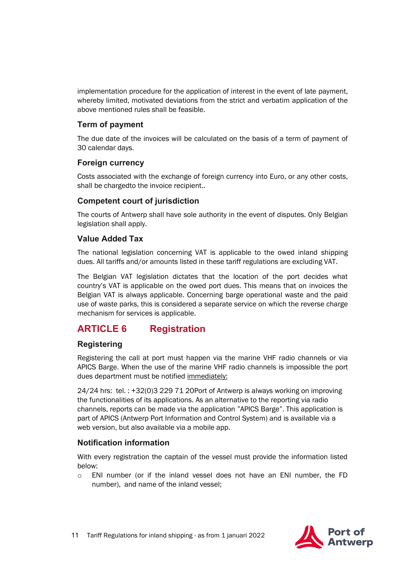implementation procedure for the application of interest in the event of late payment, whereby limited, motivated deviations from the strict and verbatim application of the above mentioned rules shall be feasible.

## <span id="page-10-0"></span>**Term of payment**

The due date of the invoices will be calculated on the basis of a term of payment of 30 calendar days.

## <span id="page-10-1"></span>**Foreign currency**

Costs associated with the exchange of foreign currency into Euro, or any other costs, shall be chargedto the invoice recipient..

#### <span id="page-10-2"></span>**Competent court of jurisdiction**

The courts of Antwerp shall have sole authority in the event of disputes. Only Belgian legislation shall apply.

## <span id="page-10-3"></span>**Value Added Tax**

The national legislation concerning VAT is applicable to the owed inland shipping dues. All tariffs and/or amounts listed in these tariff regulations are excluding VAT.

The Belgian VAT legislation dictates that the location of the port decides what country's VAT is applicable on the owed port dues. This means that on invoices the Belgian VAT is always applicable. Concerning barge operational waste and the paid use of waste parks, this is considered a separate service on which the reverse charge mechanism for services is applicable.

## <span id="page-10-4"></span>**ARTICLE 6 Registration**

## <span id="page-10-5"></span>**Registering**

Registering the call at port must happen via the marine VHF radio channels or via APICS Barge. When the use of the marine VHF radio channels is impossible the port dues department must be notified immediately:

24/24 hrs: tel. : +32(0)3 229 71 20Port of Antwerp is always working on improving the functionalities of its applications. As an alternative to the reporting via radio channels, reports can be made via the application "APICS Barge". This application is part of APICS (Antwerp Port Information and Control System) and is available via a web version, but also available via a mobile app.

## <span id="page-10-6"></span>**Notification information**

With every registration the captain of the vessel must provide the information listed below:

o ENI number (or if the inland vessel does not have an ENI number, the FD number), and name of the inland vessel;

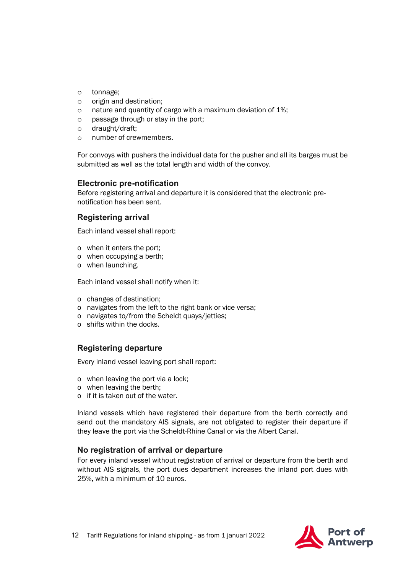- o tonnage;
- o origin and destination;
- o nature and quantity of cargo with a maximum deviation of 1%;
- o passage through or stay in the port;
- o draught/draft;
- o number of crewmembers.

For convoys with pushers the individual data for the pusher and all its barges must be submitted as well as the total length and width of the convoy.

#### <span id="page-11-0"></span>**Electronic pre-notification**

Before registering arrival and departure it is considered that the electronic prenotification has been sent.

#### <span id="page-11-1"></span>**Registering arrival**

Each inland vessel shall report:

- o when it enters the port;
- o when occupying a berth;
- o when launching.

Each inland vessel shall notify when it:

- o changes of destination;
- o navigates from the left to the right bank or vice versa;
- o navigates to/from the Scheldt quays/jetties;
- o shifts within the docks.

## <span id="page-11-2"></span>**Registering departure**

Every inland vessel leaving port shall report:

- o when leaving the port via a lock;
- o when leaving the berth;
- o if it is taken out of the water.

Inland vessels which have registered their departure from the berth correctly and send out the mandatory AIS signals, are not obligated to register their departure if they leave the port via the Scheldt-Rhine Canal or via the Albert Canal.

#### <span id="page-11-3"></span>**No registration of arrival or departure**

For every inland vessel without registration of arrival or departure from the berth and without AIS signals, the port dues department increases the inland port dues with 25%, with a minimum of 10 euros.

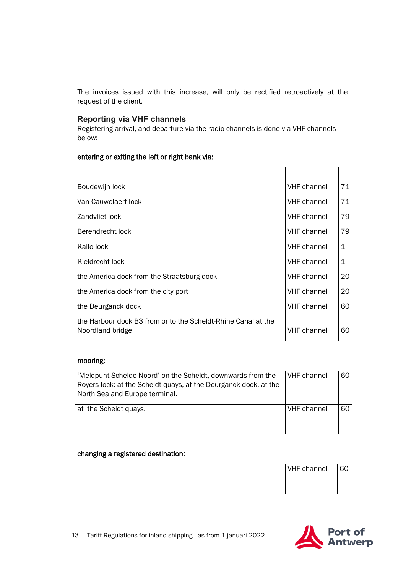The invoices issued with this increase, will only be rectified retroactively at the request of the client.

#### <span id="page-12-0"></span>**Reporting via VHF channels**

Registering arrival, and departure via the radio channels is done via VHF channels below:

| entering or exiting the left or right bank via:                                   |                    |              |  |
|-----------------------------------------------------------------------------------|--------------------|--------------|--|
|                                                                                   |                    |              |  |
| Boudewijn lock                                                                    | <b>VHF</b> channel | 71           |  |
| Van Cauwelaert lock                                                               | <b>VHF</b> channel | 71           |  |
| Zandvliet lock                                                                    | <b>VHF</b> channel | 79           |  |
| Berendrecht lock                                                                  | <b>VHF</b> channel | 79           |  |
| Kallo lock                                                                        | <b>VHF</b> channel | $\mathbf{1}$ |  |
| Kieldrecht lock                                                                   | VHF channel        | $\mathbf{1}$ |  |
| the America dock from the Straatsburg dock                                        | <b>VHF</b> channel | 20           |  |
| the America dock from the city port                                               | <b>VHF</b> channel | 20           |  |
| the Deurganck dock                                                                | <b>VHF</b> channel | 60           |  |
| the Harbour dock B3 from or to the Scheldt-Rhine Canal at the<br>Noordland bridge | <b>VHF</b> channel | 60           |  |

| mooring:                                                                                                                                                          |                    |    |
|-------------------------------------------------------------------------------------------------------------------------------------------------------------------|--------------------|----|
| 'Meldpunt Schelde Noord' on the Scheldt, downwards from the<br>Royers lock: at the Scheldt quays, at the Deurganck dock, at the<br>North Sea and Europe terminal. | <b>VHF</b> channel | 60 |
| at the Scheldt quays.                                                                                                                                             | <b>VHF</b> channel | 60 |
|                                                                                                                                                                   |                    |    |

| changing a registered destination: |             |    |
|------------------------------------|-------------|----|
|                                    | VHF channel | 60 |
|                                    |             |    |

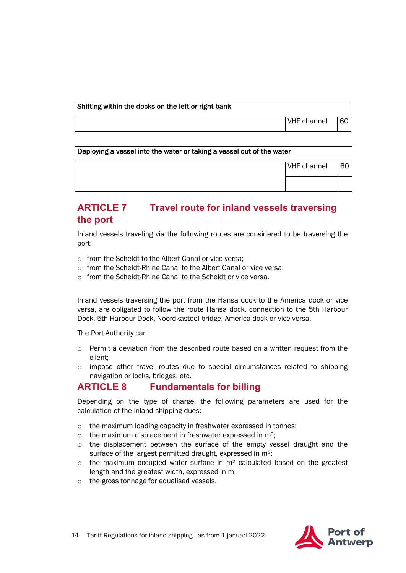| Shifting within the docks on the left or right bank |             |     |
|-----------------------------------------------------|-------------|-----|
|                                                     | VHF channel | -60 |

| Deploying a vessel into the water or taking a vessel out of the water |                    |    |  |
|-----------------------------------------------------------------------|--------------------|----|--|
|                                                                       | <b>VHF</b> channel | 60 |  |
|                                                                       |                    |    |  |

## <span id="page-13-0"></span>**ARTICLE 7 Travel route for inland vessels traversing the port**

Inland vessels traveling via the following routes are considered to be traversing the port:

- o from the Scheldt to the Albert Canal or vice versa;
- o from the Scheldt-Rhine Canal to the Albert Canal or vice versa;
- o from the Scheldt-Rhine Canal to the Scheldt or vice versa.

Inland vessels traversing the port from the Hansa dock to the America dock or vice versa, are obligated to follow the route Hansa dock, connection to the 5th Harbour Dock, 5th Harbour Dock, Noordkasteel bridge, America dock or vice versa.

The Port Authority can:

- $\circ$  Permit a deviation from the described route based on a written request from the client;
- $\circ$  impose other travel routes due to special circumstances related to shipping navigation or locks, bridges, etc.

## <span id="page-13-1"></span>**ARTICLE 8 Fundamentals for billing**

Depending on the type of charge, the following parameters are used for the calculation of the inland shipping dues:

- o the maximum loading capacity in freshwater expressed in tonnes;
- $\circ$  the maximum displacement in freshwater expressed in m<sup>3</sup>;
- $\circ$  the displacement between the surface of the empty vessel draught and the surface of the largest permitted draught, expressed in m<sup>3</sup>;
- $\circ$  the maximum occupied water surface in m<sup>2</sup> calculated based on the greatest length and the greatest width, expressed in m,
- o the gross tonnage for equalised vessels.

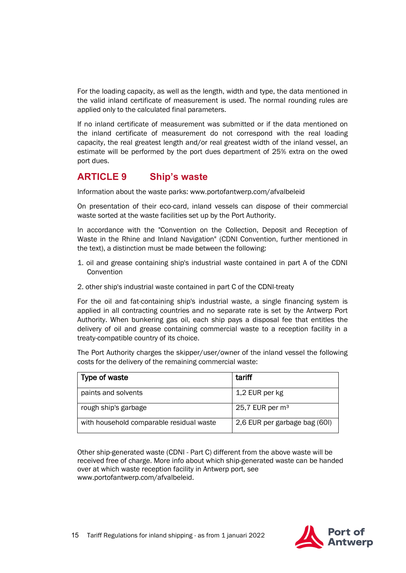For the loading capacity, as well as the length, width and type, the data mentioned in the valid inland certificate of measurement is used. The normal rounding rules are applied only to the calculated final parameters.

If no inland certificate of measurement was submitted or if the data mentioned on the inland certificate of measurement do not correspond with the real loading capacity, the real greatest length and/or real greatest width of the inland vessel, an estimate will be performed by the port dues department of 25% extra on the owed port dues.

## <span id="page-14-0"></span>**ARTICLE 9 Ship's waste**

Information about the waste parks: www.portofantwerp.com/afvalbeleid

On presentation of their eco-card, inland vessels can dispose of their commercial waste sorted at the waste facilities set up by the Port Authority.

In accordance with the "Convention on the Collection, Deposit and Reception of Waste in the Rhine and Inland Navigation" (CDNI Convention, further mentioned in the text), a distinction must be made between the following:

- 1. oil and grease containing ship's industrial waste contained in part A of the CDNI **Convention**
- 2. other ship's industrial waste contained in part C of the CDNI-treaty

For the oil and fat-containing ship's industrial waste, a single financing system is applied in all contracting countries and no separate rate is set by the Antwerp Port Authority. When bunkering gas oil, each ship pays a disposal fee that entitles the delivery of oil and grease containing commercial waste to a reception facility in a treaty-compatible country of its choice.

The Port Authority charges the skipper/user/owner of the inland vessel the following costs for the delivery of the remaining commercial waste:

| Type of waste                            | tariff                        |
|------------------------------------------|-------------------------------|
| paints and solvents                      | 1,2 EUR per kg                |
| rough ship's garbage                     | 25,7 EUR per $m3$             |
| with household comparable residual waste | 2,6 EUR per garbage bag (60I) |

Other ship-generated waste (CDNI - Part C) different from the above waste will be received free of charge. More info about which ship-generated waste can be handed over at which waste reception facility in Antwerp port, see www.portofantwerp.com/afvalbeleid.

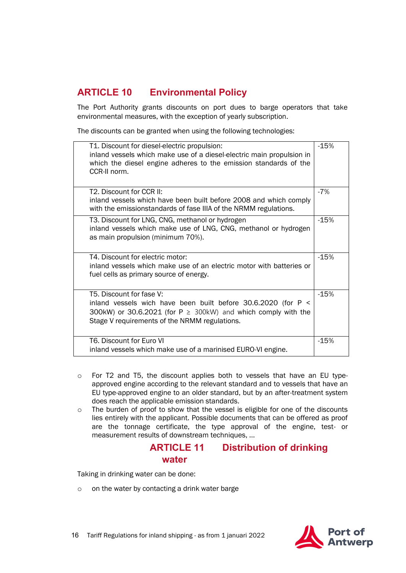## <span id="page-15-0"></span>**ARTICLE 10 Environmental Policy**

The Port Authority grants discounts on port dues to barge operators that take environmental measures, with the exception of yearly subscription.

The discounts can be granted when using the following technologies:

| T1. Discount for diesel-electric propulsion:<br>inland vessels which make use of a diesel-electric main propulsion in<br>which the diesel engine adheres to the emission standards of the<br>CCR-II norm.          | $-15%$ |
|--------------------------------------------------------------------------------------------------------------------------------------------------------------------------------------------------------------------|--------|
| T2. Discount for CCR II:<br>inland vessels which have been built before 2008 and which comply<br>with the emissionstandards of fase IIIA of the NRMM regulations.                                                  | $-7%$  |
| T3. Discount for LNG, CNG, methanol or hydrogen<br>inland vessels which make use of LNG, CNG, methanol or hydrogen<br>as main propulsion (minimum 70%).                                                            | $-15%$ |
| T4. Discount for electric motor:<br>inland vessels which make use of an electric motor with batteries or<br>fuel cells as primary source of energy.                                                                | $-15%$ |
| T5. Discount for fase V:<br>inland vessels wich have been built before $30.6.2020$ (for P <<br>300kW) or 30.6.2021 (for $P \ge 300$ kW) and which comply with the<br>Stage V requirements of the NRMM regulations. | $-15%$ |
| T6. Discount for Euro VI<br>inland vessels which make use of a marinised EURO-VI engine.                                                                                                                           | $-15%$ |

- $\circ$  For T2 and T5, the discount applies both to vessels that have an EU typeapproved engine according to the relevant standard and to vessels that have an EU type-approved engine to an older standard, but by an after-treatment system does reach the applicable emission standards.
- o The burden of proof to show that the vessel is eligible for one of the discounts lies entirely with the applicant. Possible documents that can be offered as proof are the tonnage certificate, the type approval of the engine, test- or measurement results of downstream techniques, ...

## **ARTICLE 11 Distribution of drinking water**

<span id="page-15-1"></span>Taking in drinking water can be done:

 $\circ$  on the water by contacting a drink water barge

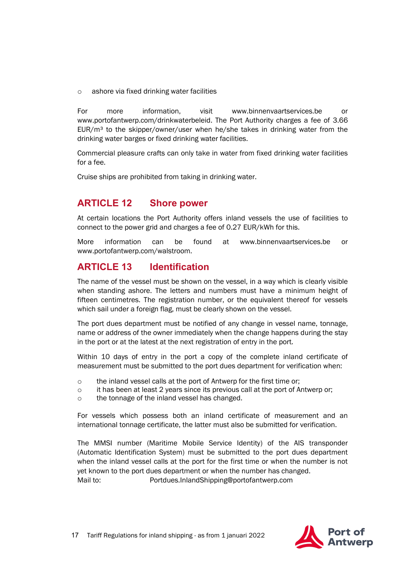o ashore via fixed drinking water facilities

For more information, visit [www.binnenvaartservices.be](http://www.binnenvaartservices.be/) or [www.portofantwerp.com/drinkwaterbeleid.](http://www.portofantwerp.com/drinkwaterbeleid) The Port Authority charges a fee of 3.66  $EUR/m<sup>3</sup>$  to the skipper/owner/user when he/she takes in drinking water from the drinking water barges or fixed drinking water facilities.

Commercial pleasure crafts can only take in water from fixed drinking water facilities for a fee.

Cruise ships are prohibited from taking in drinking water.

## <span id="page-16-0"></span>**ARTICLE 12 Shore power**

At certain locations the Port Authority offers inland vessels the use of facilities to connect to the power grid and charges a fee of 0.27 EUR/kWh for this.

More information can be found at www.binnenvaartservices.be or www.portofantwerp.com/walstroom.

## <span id="page-16-1"></span>**ARTICLE 13 Identification**

The name of the vessel must be shown on the vessel, in a way which is clearly visible when standing ashore. The letters and numbers must have a minimum height of fifteen centimetres. The registration number, or the equivalent thereof for vessels which sail under a foreign flag, must be clearly shown on the vessel.

The port dues department must be notified of any change in vessel name, tonnage, name or address of the owner immediately when the change happens during the stay in the port or at the latest at the next registration of entry in the port.

Within 10 days of entry in the port a copy of the complete inland certificate of measurement must be submitted to the port dues department for verification when:

- o the inland vessel calls at the port of Antwerp for the first time or;
- $\circ$  it has been at least 2 years since its previous call at the port of Antwerp or;
- o the tonnage of the inland vessel has changed.

For vessels which possess both an inland certificate of measurement and an international tonnage certificate, the latter must also be submitted for verification.

The MMSI number (Maritime Mobile Service Identity) of the AIS transponder (Automatic Identification System) must be submitted to the port dues department when the inland vessel calls at the port for the first time or when the number is not yet known to the port dues department or when the number has changed.

Mail to: Portdues.InlandShipping@portofantwerp.com

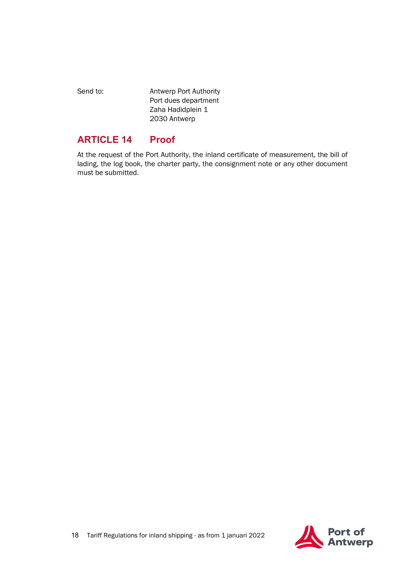Send to: Antwerp Port Authority Port dues department Zaha Hadidplein 1 2030 Antwerp

## <span id="page-17-0"></span>**ARTICLE 14 Proof**

At the request of the Port Authority, the inland certificate of measurement, the bill of lading, the log book, the charter party, the consignment note or any other document must be submitted.

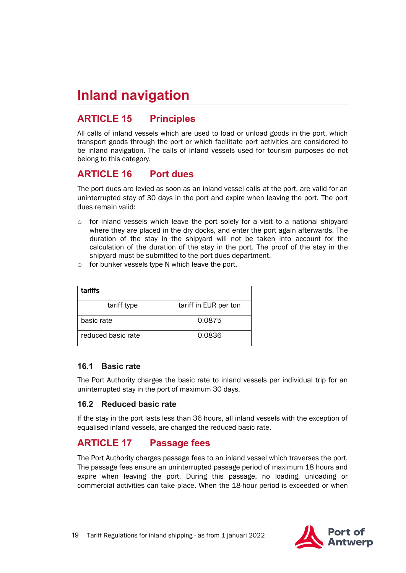# <span id="page-18-0"></span>**Inland navigation**

## <span id="page-18-1"></span>**ARTICLE 15 Principles**

All calls of inland vessels which are used to load or unload goods in the port, which transport goods through the port or which facilitate port activities are considered to be inland navigation. The calls of inland vessels used for tourism purposes do not belong to this category.

## <span id="page-18-2"></span>**ARTICLE 16 Port dues**

The port dues are levied as soon as an inland vessel calls at the port, are valid for an uninterrupted stay of 30 days in the port and expire when leaving the port. The port dues remain valid:

- $\circ$  for inland vessels which leave the port solely for a visit to a national shipyard where they are placed in the dry docks, and enter the port again afterwards. The duration of the stay in the shipyard will not be taken into account for the calculation of the duration of the stay in the port. The proof of the stay in the shipyard must be submitted to the port dues department.
- o for bunker vessels type N which leave the port.

| tariffs            |                       |
|--------------------|-----------------------|
| tariff type        | tariff in EUR per ton |
| basic rate         | 0.0875                |
| reduced basic rate | 0.0836                |

## <span id="page-18-3"></span>**16.1 Basic rate**

The Port Authority charges the basic rate to inland vessels per individual trip for an uninterrupted stay in the port of maximum 30 days.

## <span id="page-18-4"></span>**16.2 Reduced basic rate**

If the stay in the port lasts less than 36 hours, all inland vessels with the exception of equalised inland vessels, are charged the reduced basic rate.

## <span id="page-18-5"></span>**ARTICLE 17 Passage fees**

The Port Authority charges passage fees to an inland vessel which traverses the port. The passage fees ensure an uninterrupted passage period of maximum 18 hours and expire when leaving the port. During this passage, no loading, unloading or commercial activities can take place. When the 18-hour period is exceeded or when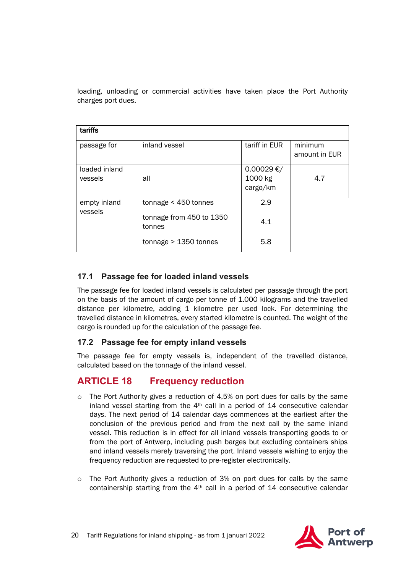loading, unloading or commercial activities have taken place the Port Authority charges port dues.

| tariffs                  |                                    |                                     |                          |
|--------------------------|------------------------------------|-------------------------------------|--------------------------|
| passage for              | inland vessel                      | tariff in EUR                       | minimum<br>amount in EUR |
| loaded inland<br>vessels | all                                | $0.00029$ €/<br>1000 kg<br>cargo/km | 4.7                      |
| empty inland<br>vessels  | tonnage $<$ 450 tonnes             | 2.9                                 |                          |
|                          | tonnage from 450 to 1350<br>tonnes | 4.1                                 |                          |
|                          | tonnage $> 1350$ tonnes            | 5.8                                 |                          |

## <span id="page-19-0"></span>**17.1 Passage fee for loaded inland vessels**

The passage fee for loaded inland vessels is calculated per passage through the port on the basis of the amount of cargo per tonne of 1.000 kilograms and the travelled distance per kilometre, adding 1 kilometre per used lock. For determining the travelled distance in kilometres, every started kilometre is counted. The weight of the cargo is rounded up for the calculation of the passage fee.

## <span id="page-19-1"></span>**17.2 Passage fee for empty inland vessels**

The passage fee for empty vessels is, independent of the travelled distance, calculated based on the tonnage of the inland vessel.

## <span id="page-19-2"></span>**ARTICLE 18 Frequency reduction**

- $\circ$  The Port Authority gives a reduction of 4,5% on port dues for calls by the same inland vessel starting from the  $4<sup>th</sup>$  call in a period of 14 consecutive calendar days. The next period of 14 calendar days commences at the earliest after the conclusion of the previous period and from the next call by the same inland vessel. This reduction is in effect for all inland vessels transporting goods to or from the port of Antwerp, including push barges but excluding containers ships and inland vessels merely traversing the port. Inland vessels wishing to enjoy the frequency reduction are requested to pre-register electronically.
- o The Port Authority gives a reduction of 3% on port dues for calls by the same containership starting from the  $4<sup>th</sup>$  call in a period of 14 consecutive calendar

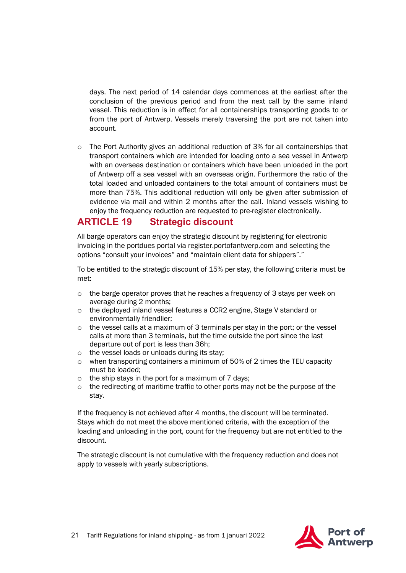days. The next period of 14 calendar days commences at the earliest after the conclusion of the previous period and from the next call by the same inland vessel. This reduction is in effect for all containerships transporting goods to or from the port of Antwerp. Vessels merely traversing the port are not taken into account.

 $\circ$  The Port Authority gives an additional reduction of 3% for all containerships that transport containers which are intended for loading onto a sea vessel in Antwerp with an overseas destination or containers which have been unloaded in the port of Antwerp off a sea vessel with an overseas origin. Furthermore the ratio of the total loaded and unloaded containers to the total amount of containers must be more than 75%. This additional reduction will only be given after submission of evidence via mail and within 2 months after the call. Inland vessels wishing to enjoy the frequency reduction are requested to pre-register electronically.

## <span id="page-20-0"></span>**ARTICLE 19 Strategic discount**

All barge operators can enjoy the strategic discount by registering for electronic invoicing in the portdues portal via register.portofantwerp.com and selecting the options "consult your invoices" and "maintain client data for shippers"."

To be entitled to the strategic discount of 15% per stay, the following criteria must be met:

- $\circ$  the barge operator proves that he reaches a frequency of 3 stays per week on average during 2 months;
- o the deployed inland vessel features a CCR2 engine, Stage V standard or environmentally friendlier;
- $\circ$  the vessel calls at a maximum of 3 terminals per stay in the port; or the vessel calls at more than 3 terminals, but the time outside the port since the last departure out of port is less than 36h;
- o the vessel loads or unloads during its stay;
- o when transporting containers a minimum of 50% of 2 times the TEU capacity must be loaded;
- o the ship stays in the port for a maximum of 7 days;
- $\circ$  the redirecting of maritime traffic to other ports may not be the purpose of the stay.

If the frequency is not achieved after 4 months, the discount will be terminated. Stays which do not meet the above mentioned criteria, with the exception of the loading and unloading in the port, count for the frequency but are not entitled to the discount.

The strategic discount is not cumulative with the frequency reduction and does not apply to vessels with yearly subscriptions.

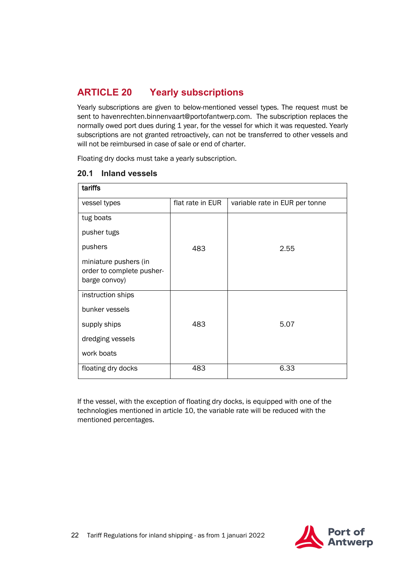## <span id="page-21-0"></span>**ARTICLE 20 Yearly subscriptions**

Yearly subscriptions are given to below-mentioned vessel types. The request must be sent to [havenrechten.binnenvaart@portofantwerp.com.](mailto:havenrechten.binnenvaart@portofantwerp.com) The subscription replaces the normally owed port dues during 1 year, for the vessel for which it was requested. Yearly subscriptions are not granted retroactively, can not be transferred to other vessels and will not be reimbursed in case of sale or end of charter.

Floating dry docks must take a yearly subscription.

| tariffs                                                             |                  |                                |  |  |
|---------------------------------------------------------------------|------------------|--------------------------------|--|--|
| vessel types                                                        | flat rate in EUR | variable rate in EUR per tonne |  |  |
| tug boats                                                           |                  |                                |  |  |
| pusher tugs                                                         |                  |                                |  |  |
| pushers                                                             | 483              | 2.55                           |  |  |
| miniature pushers (in<br>order to complete pusher-<br>barge convoy) |                  |                                |  |  |
| instruction ships                                                   |                  |                                |  |  |
| bunker vessels                                                      |                  |                                |  |  |
| supply ships                                                        | 483              | 5.07                           |  |  |
| dredging vessels                                                    |                  |                                |  |  |
| work boats                                                          |                  |                                |  |  |
| floating dry docks                                                  | 483              | 6.33                           |  |  |

#### <span id="page-21-1"></span>**20.1 Inland vessels**

If the vessel, with the exception of floating dry docks, is equipped with one of the technologies mentioned in article 10, the variable rate will be reduced with the mentioned percentages.

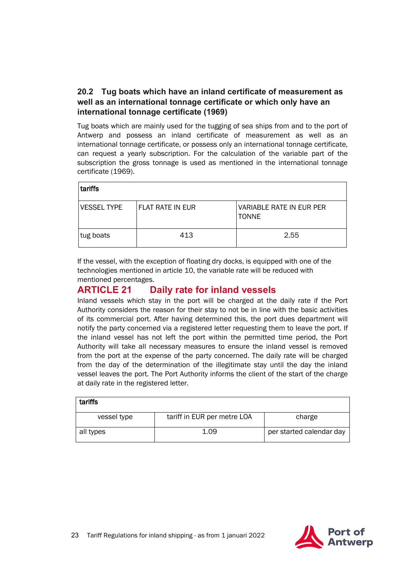## <span id="page-22-0"></span>**20.2 Tug boats which have an inland certificate of measurement as well as an international tonnage certificate or which only have an international tonnage certificate (1969)**

Tug boats which are mainly used for the tugging of sea ships from and to the port of Antwerp and possess an inland certificate of measurement as well as an international tonnage certificate, or possess only an international tonnage certificate, can request a yearly subscription. For the calculation of the variable part of the subscription the gross tonnage is used as mentioned in the international tonnage certificate (1969).

| tariffs            |                         |                                          |  |
|--------------------|-------------------------|------------------------------------------|--|
| <b>VESSEL TYPE</b> | <b>FLAT RATE IN EUR</b> | VARIABLE RATE IN EUR PER<br><b>TONNE</b> |  |
| tug boats          | 413                     | 2.55                                     |  |

If the vessel, with the exception of floating dry docks, is equipped with one of the technologies mentioned in article 10, the variable rate will be reduced with mentioned percentages.

## <span id="page-22-1"></span>**ARTICLE 21 Daily rate for inland vessels**

Inland vessels which stay in the port will be charged at the daily rate if the Port Authority considers the reason for their stay to not be in line with the basic activities of its commercial port. After having determined this, the port dues department will notify the party concerned via a registered letter requesting them to leave the port. If the inland vessel has not left the port within the permitted time period, the Port Authority will take all necessary measures to ensure the inland vessel is removed from the port at the expense of the party concerned. The daily rate will be charged from the day of the determination of the illegitimate stay until the day the inland vessel leaves the port. The Port Authority informs the client of the start of the charge at daily rate in the registered letter.

| tariffs     |                             |                          |
|-------------|-----------------------------|--------------------------|
| vessel type | tariff in EUR per metre LOA | charge                   |
| all types   | 1.09                        | per started calendar day |

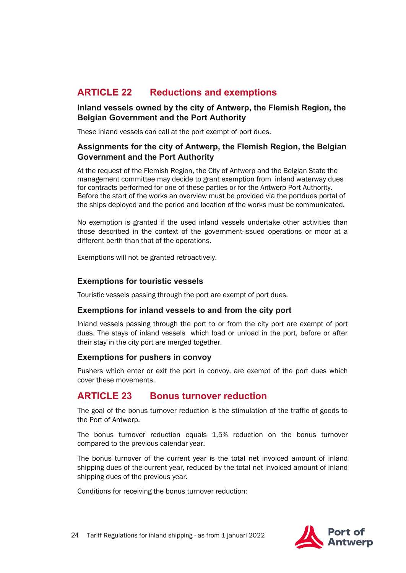## <span id="page-23-0"></span>**ARTICLE 22 Reductions and exemptions**

## <span id="page-23-1"></span>**Inland vessels owned by the city of Antwerp, the Flemish Region, the Belgian Government and the Port Authority**

These inland vessels can call at the port exempt of port dues.

## <span id="page-23-2"></span>**Assignments for the city of Antwerp, the Flemish Region, the Belgian Government and the Port Authority**

At the request of the Flemish Region, the City of Antwerp and the Belgian State the management committee may decide to grant exemption from inland waterway dues for contracts performed for one of these parties or for the Antwerp Port Authority. Before the start of the works an overview must be provided via the portdues portal of the ships deployed and the period and location of the works must be communicated.

No exemption is granted if the used inland vessels undertake other activities than those described in the context of the government-issued operations or moor at a different berth than that of the operations.

Exemptions will not be granted retroactively.

#### <span id="page-23-3"></span>**Exemptions for touristic vessels**

Touristic vessels passing through the port are exempt of port dues.

## <span id="page-23-4"></span>**Exemptions for inland vessels to and from the city port**

Inland vessels passing through the port to or from the city port are exempt of port dues. The stays of inland vessels which load or unload in the port, before or after their stay in the city port are merged together.

#### <span id="page-23-5"></span>**Exemptions for pushers in convoy**

Pushers which enter or exit the port in convoy, are exempt of the port dues which cover these movements.

## <span id="page-23-6"></span>**ARTICLE 23 Bonus turnover reduction**

The goal of the bonus turnover reduction is the stimulation of the traffic of goods to the Port of Antwerp.

The bonus turnover reduction equals 1,5% reduction on the bonus turnover compared to the previous calendar year.

The bonus turnover of the current year is the total net invoiced amount of inland shipping dues of the current year, reduced by the total net invoiced amount of inland shipping dues of the previous year.

Conditions for receiving the bonus turnover reduction:

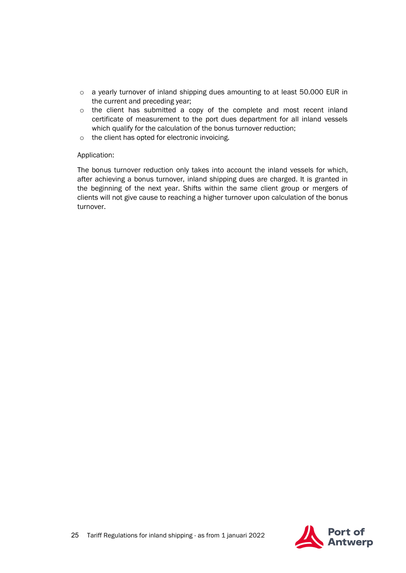- o a yearly turnover of inland shipping dues amounting to at least 50.000 EUR in the current and preceding year;
- o the client has submitted a copy of the complete and most recent inland certificate of measurement to the port dues department for all inland vessels which qualify for the calculation of the bonus turnover reduction;
- o the client has opted for electronic invoicing.

#### Application:

The bonus turnover reduction only takes into account the inland vessels for which, after achieving a bonus turnover, inland shipping dues are charged. It is granted in the beginning of the next year. Shifts within the same client group or mergers of clients will not give cause to reaching a higher turnover upon calculation of the bonus turnover.

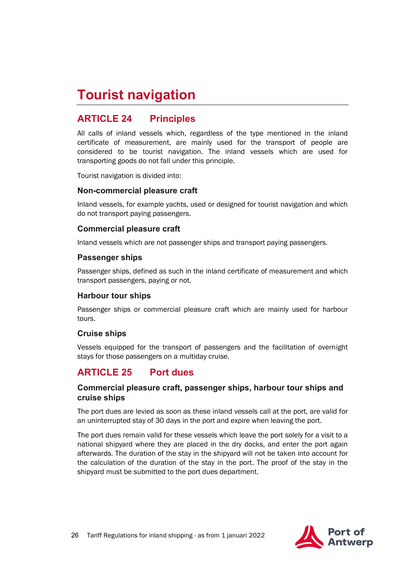# <span id="page-25-0"></span>**Tourist navigation**

## <span id="page-25-1"></span>**ARTICLE 24 Principles**

All calls of inland vessels which, regardless of the type mentioned in the inland certificate of measurement, are mainly used for the transport of people are considered to be tourist navigation. The inland vessels which are used for transporting goods do not fall under this principle.

Tourist navigation is divided into:

#### <span id="page-25-2"></span>**Non-commercial pleasure craft**

Inland vessels, for example yachts, used or designed for tourist navigation and which do not transport paying passengers.

#### <span id="page-25-3"></span>**Commercial pleasure craft**

Inland vessels which are not passenger ships and transport paying passengers.

#### <span id="page-25-4"></span>**Passenger ships**

Passenger ships, defined as such in the inland certificate of measurement and which transport passengers, paying or not.

## <span id="page-25-5"></span>**Harbour tour ships**

Passenger ships or commercial pleasure craft which are mainly used for harbour tours.

#### <span id="page-25-6"></span>**Cruise ships**

Vessels equipped for the transport of passengers and the facilitation of overnight stays for those passengers on a multiday cruise.

## <span id="page-25-7"></span>**ARTICLE 25 Port dues**

## <span id="page-25-8"></span>**Commercial pleasure craft, passenger ships, harbour tour ships and cruise ships**

The port dues are levied as soon as these inland vessels call at the port, are valid for an uninterrupted stay of 30 days in the port and expire when leaving the port.

The port dues remain valid for these vessels which leave the port solely for a visit to a national shipyard where they are placed in the dry docks, and enter the port again afterwards. The duration of the stay in the shipyard will not be taken into account for the calculation of the duration of the stay in the port. The proof of the stay in the shipyard must be submitted to the port dues department.

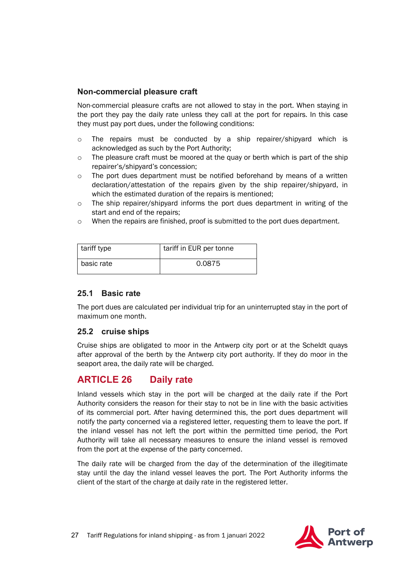## <span id="page-26-0"></span>**Non-commercial pleasure craft**

Non-commercial pleasure crafts are not allowed to stay in the port. When staying in the port they pay the daily rate unless they call at the port for repairs. In this case they must pay port dues, under the following conditions:

- $\circ$  The repairs must be conducted by a ship repairer/shipyard which is acknowledged as such by the Port Authority;
- $\circ$  The pleasure craft must be moored at the quay or berth which is part of the ship repairer's/shipyard's concession;
- $\circ$  The port dues department must be notified beforehand by means of a written declaration/attestation of the repairs given by the ship repairer/shipyard, in which the estimated duration of the repairs is mentioned;
- $\circ$  The ship repairer/shipyard informs the port dues department in writing of the start and end of the repairs;
- $\circ$  When the repairs are finished, proof is submitted to the port dues department.

| tariff type | tariff in EUR per tonne |
|-------------|-------------------------|
| basic rate  | 0.0875                  |

#### <span id="page-26-1"></span>**25.1 Basic rate**

The port dues are calculated per individual trip for an uninterrupted stay in the port of maximum one month.

#### <span id="page-26-2"></span>**25.2 cruise ships**

Cruise ships are obligated to moor in the Antwerp city port or at the Scheldt quays after approval of the berth by the Antwerp city port authority. If they do moor in the seaport area, the daily rate will be charged.

## <span id="page-26-3"></span>**ARTICLE 26 Daily rate**

Inland vessels which stay in the port will be charged at the daily rate if the Port Authority considers the reason for their stay to not be in line with the basic activities of its commercial port. After having determined this, the port dues department will notify the party concerned via a registered letter, requesting them to leave the port. If the inland vessel has not left the port within the permitted time period, the Port Authority will take all necessary measures to ensure the inland vessel is removed from the port at the expense of the party concerned.

The daily rate will be charged from the day of the determination of the illegitimate stay until the day the inland vessel leaves the port. The Port Authority informs the client of the start of the charge at daily rate in the registered letter.

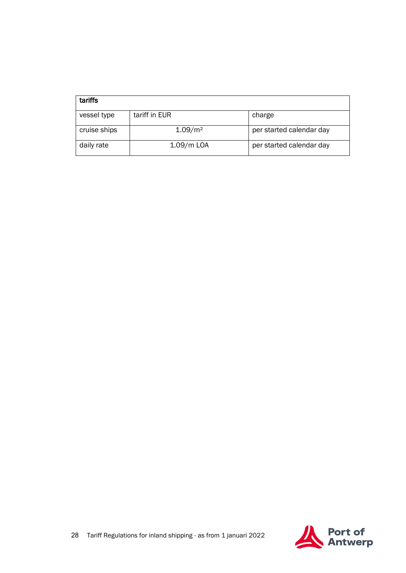| tariffs      |                     |                          |
|--------------|---------------------|--------------------------|
| vessel type  | tariff in EUR       | charge                   |
| cruise ships | 1.09/m <sup>2</sup> | per started calendar day |
| daily rate   | $1.09/m$ LOA        | per started calendar day |